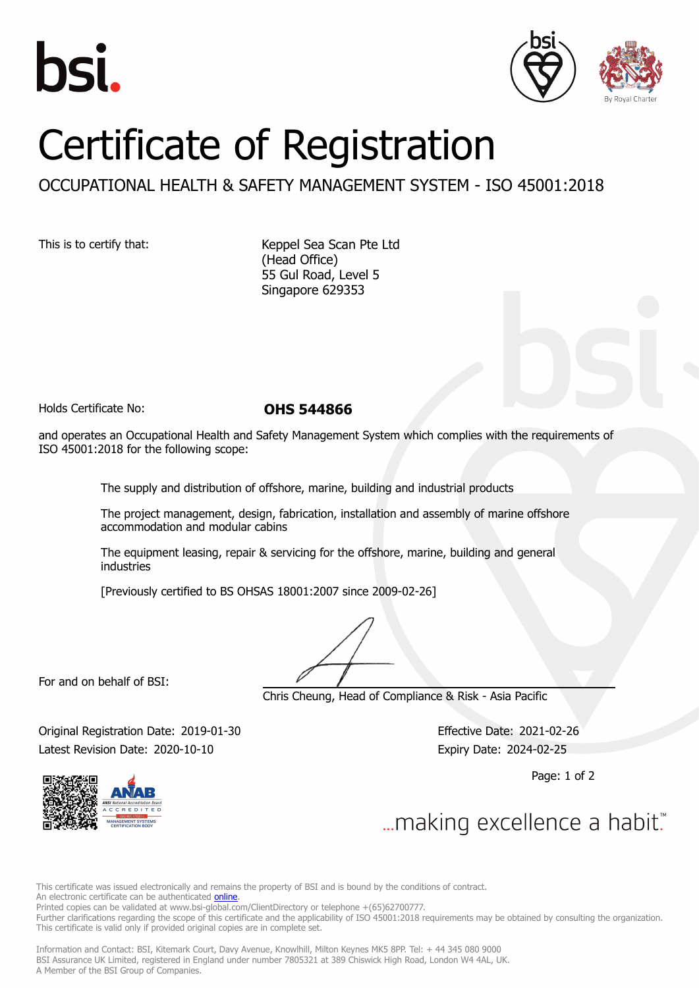



## Certificate of Registration

## OCCUPATIONAL HEALTH & SAFETY MANAGEMENT SYSTEM - ISO 45001:2018

This is to certify that: Keppel Sea Scan Pte Ltd (Head Office) 55 Gul Road, Level 5 Singapore 629353

Holds Certificate No: **OHS 544866**

and operates an Occupational Health and Safety Management System which complies with the requirements of ISO 45001:2018 for the following scope:

The supply and distribution of offshore, marine, building and industrial products

The project management, design, fabrication, installation and assembly of marine offshore accommodation and modular cabins

The equipment leasing, repair & servicing for the offshore, marine, building and general industries

[Previously certified to BS OHSAS 18001:2007 since 2009-02-26]

For and on behalf of BSI:

Chris Cheung, Head of Compliance & Risk - Asia Pacific

Original Registration Date: 2019-01-30 Effective Date: 2021-02-26 Latest Revision Date: 2020-10-10 **Expiry Date: 2024-02-25** 

Page: 1 of 2



... making excellence a habit."

This certificate was issued electronically and remains the property of BSI and is bound by the conditions of contract. An electronic certificate can be authenticated **[online](https://pgplus.bsigroup.com/CertificateValidation/CertificateValidator.aspx?CertificateNumber=OHS+544866&ReIssueDate=10%2f10%2f2020&Template=sing_en)** 

Printed copies can be validated at www.bsi-global.com/ClientDirectory or telephone +(65)62700777.

Further clarifications regarding the scope of this certificate and the applicability of ISO 45001:2018 requirements may be obtained by consulting the organization. This certificate is valid only if provided original copies are in complete set.

Information and Contact: BSI, Kitemark Court, Davy Avenue, Knowlhill, Milton Keynes MK5 8PP. Tel: + 44 345 080 9000 BSI Assurance UK Limited, registered in England under number 7805321 at 389 Chiswick High Road, London W4 4AL, UK. A Member of the BSI Group of Companies.